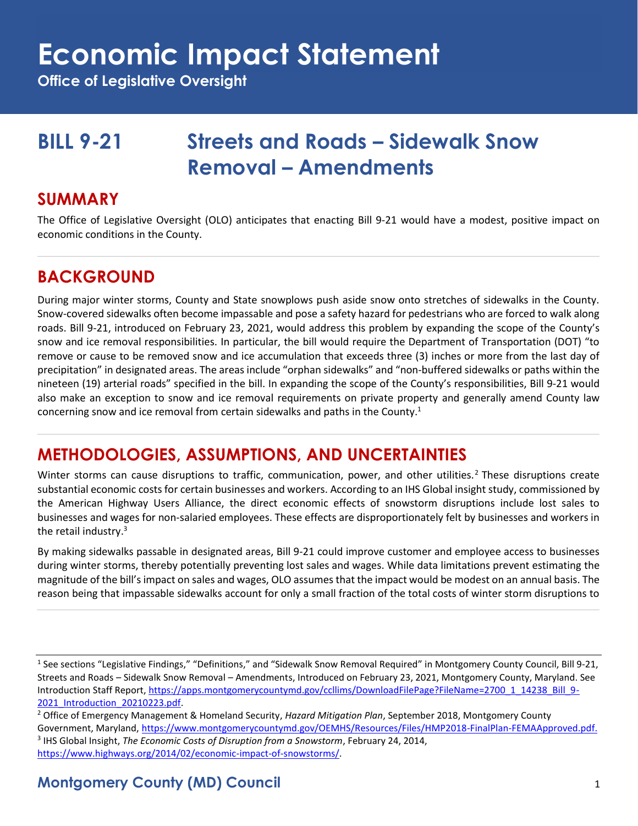# **Economic Impact Statement**

**Office of Legislative Oversight**

## **BILL 9-21 Streets and Roads – Sidewalk Snow Removal – Amendments**

#### **SUMMARY**

The Office of Legislative Oversight (OLO) anticipates that enacting Bill 9-21 would have a modest, positive impact on economic conditions in the County.

## **BACKGROUND**

During major winter storms, County and State snowplows push aside snow onto stretches of sidewalks in the County. Snow-covered sidewalks often become impassable and pose a safety hazard for pedestrians who are forced to walk along roads. Bill 9-21, introduced on February 23, 2021, would address this problem by expanding the scope of the County's snow and ice removal responsibilities. In particular, the bill would require the Department of Transportation (DOT) "to remove or cause to be removed snow and ice accumulation that exceeds three (3) inches or more from the last day of precipitation" in designated areas. The areas include "orphan sidewalks" and "non-buffered sidewalks or paths within the nineteen (19) arterial roads" specified in the bill. In expanding the scope of the County's responsibilities, Bill 9-21 would also make an exception to snow and ice removal requirements on private property and generally amend County law concerning snow and ice removal from certain sidewalks and paths in the County.<sup>1</sup>

## **METHODOLOGIES, ASSUMPTIONS, AND UNCERTAINTIES**

Winter storms can cause disruptions to traffic, communication, power, and other utilities.<sup>2</sup> These disruptions create substantial economic costs for certain businesses and workers. According to an IHS Global insight study, commissioned by the American Highway Users Alliance, the direct economic effects of snowstorm disruptions include lost sales to businesses and wages for non-salaried employees. These effects are disproportionately felt by businesses and workers in the retail industry.<sup>3</sup>

By making sidewalks passable in designated areas, Bill 9-21 could improve customer and employee access to businesses during winter storms, thereby potentially preventing lost sales and wages. While data limitations prevent estimating the magnitude of the bill's impact on sales and wages, OLO assumes that the impact would be modest on an annual basis. The reason being that impassable sidewalks account for only a small fraction of the total costs of winter storm disruptions to

<sup>&</sup>lt;sup>1</sup> See sections "Legislative Findings," "Definitions," and "Sidewalk Snow Removal Required" in Montgomery County Council, Bill 9-21, Streets and Roads – Sidewalk Snow Removal – Amendments, Introduced on February 23, 2021, Montgomery County, Maryland. See Introduction Staff Report[, https://apps.montgomerycountymd.gov/ccllims/DownloadFilePage?FileName=2700\\_1\\_14238\\_Bill\\_9-](https://apps.montgomerycountymd.gov/ccllims/DownloadFilePage?FileName=2700_1_14238_Bill_9-2021_Introduction_20210223.pdf) [2021\\_Introduction\\_20210223.pdf.](https://apps.montgomerycountymd.gov/ccllims/DownloadFilePage?FileName=2700_1_14238_Bill_9-2021_Introduction_20210223.pdf)

<sup>2</sup> Office of Emergency Management & Homeland Security, *Hazard Mitigation Plan*, September 2018, Montgomery County Government, Maryland, [https://www.montgomerycountymd.gov/OEMHS/Resources/Files/HMP2018-FinalPlan-FEMAApproved.pdf.](https://www.montgomerycountymd.gov/OEMHS/Resources/Files/HMP2018-FinalPlan-FEMAApproved.pdf) 3 IHS Global Insight, *The Economic Costs of Disruption from a Snowstorm*, February 24, 2014, [https://www.highways.org/2014/02/economic-impact-of-snowstorms/.](https://www.highways.org/2014/02/economic-impact-of-snowstorms/)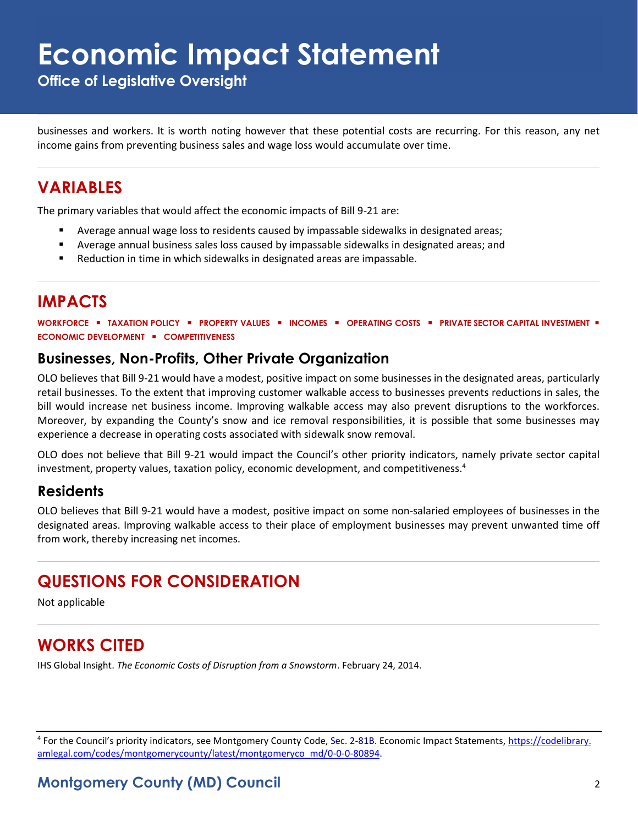# **Economic Impact Statement**

**Office of Legislative Oversight**

businesses and workers. It is worth noting however that these potential costs are recurring. For this reason, any net income gains from preventing business sales and wage loss would accumulate over time.

### **VARIABLES**

The primary variables that would affect the economic impacts of Bill 9-21 are:

- Average annual wage loss to residents caused by impassable sidewalks in designated areas;
- Average annual business sales loss caused by impassable sidewalks in designated areas; and
- Reduction in time in which sidewalks in designated areas are impassable.

## **IMPACTS**

**WORKFORCE** ▪ **TAXATION POLICY** ▪ **PROPERTY VALUES** ▪ **INCOMES** ▪ **OPERATING COSTS** ▪ **PRIVATE SECTOR CAPITAL INVESTMENT** ▪ **ECONOMIC DEVELOPMENT** ▪ **COMPETITIVENESS**

#### **Businesses, Non-Profits, Other Private Organization**

OLO believes that Bill 9-21 would have a modest, positive impact on some businesses in the designated areas, particularly retail businesses. To the extent that improving customer walkable access to businesses prevents reductions in sales, the bill would increase net business income. Improving walkable access may also prevent disruptions to the workforces. Moreover, by expanding the County's snow and ice removal responsibilities, it is possible that some businesses may experience a decrease in operating costs associated with sidewalk snow removal.

OLO does not believe that Bill 9-21 would impact the Council's other priority indicators, namely private sector capital investment, property values, taxation policy, economic development, and competitiveness.<sup>4</sup>

#### **Residents**

OLO believes that Bill 9-21 would have a modest, positive impact on some non-salaried employees of businesses in the designated areas. Improving walkable access to their place of employment businesses may prevent unwanted time off from work, thereby increasing net incomes.

## **QUESTIONS FOR CONSIDERATION**

Not applicable

## **WORKS CITED**

IHS Global Insight. *The Economic Costs of Disruption from a Snowstorm*. February 24, 2014.

<sup>4</sup> For the Council's priority indicators, see Montgomery County Code, Sec. 2-81B. Economic Impact Statements, *https://codelibrary*. [amlegal.com/codes/montgomerycounty/latest/montgomeryco\\_md/0-0-0-80894.](https://codelibrary.amlegal.com/codes/montgomerycounty/latest/montgomeryco_md/0-0-0-80894)